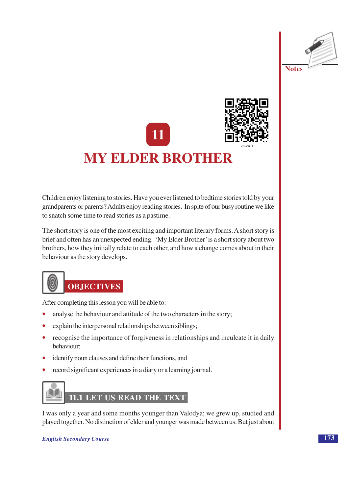





# **MY ELDER BROTHER**

Children enjoy listening to stories. Have you ever listened to bedtime stories told by your grandparents or parents? Adults enjoy reading stories. In spite of our busy routine we like to snatch some time to read stories as a pastime.

The short story is one of the most exciting and important literary forms. A short story is brief and often has an unexpected ending. 'My Elder Brother' is a short story about two brothers, how they initially relate to each other, and how a change comes about in their behaviour as the story develops.



# **OBJECTIVES**

After completing this lesson you will be able to:

- analyse the behaviour and attitude of the two characters in the story;
- explain the interpersonal relationships between siblings;
- recognise the importance of forgiveness in relationships and inculcate it in daily behaviour:
- identify noun clauses and define their functions, and
- record significant experiences in a diary or a learning journal.

# 11.1 LET US READ THE TEXT

I was only a year and some months younger than Valodya; we grew up, studied and played together. No distinction of elder and younger was made between us. But just about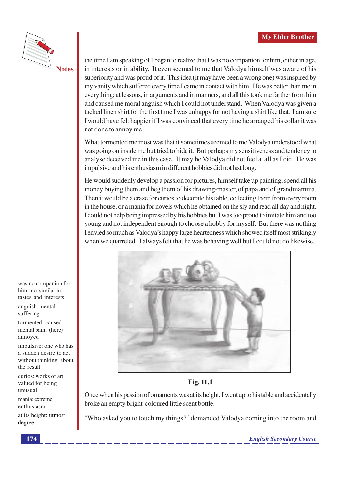

the time I am speaking of I began to realize that I was no companion for him, either in age, in interests or in ability. It even seemed to me that Valodya himself was aware of his superiority and was proud of it. This idea (it may have been a wrong one) was inspired by my vanity which suffered every time I came in contact with him. He was better than me in everything; at lessons, in arguments and in manners, and all this took me farther from him and caused me moral anguish which I could not understand. When Valodya was given a tucked linen shirt for the first time I was unhappy for not having a shirt like that. I am sure I would have felt happier if I was convinced that every time he arranged his collar it was not done to annoy me.

What tormented me most was that it sometimes seemed to me Valodya understood what was going on inside me but tried to hide it. But perhaps my sensitiveness and tendency to analyse deceived me in this case. It may be Valodya did not feel at all as I did. He was impulsive and his enthusiasm in different hobbies did not last long.

He would suddenly develop a passion for pictures, himself take up painting, spend all his money buying them and beg them of his drawing-master, of papa and of grandmamma. Then it would be a craze for curios to decorate his table, collecting them from every room in the house, or a mania for novels which he obtained on the sly and read all day and night. I could not help being impressed by his hobbies but I was too proud to imitate him and too young and not independent enough to choose a hobby for myself. But there was nothing I envied so much as Valodya's happy large heartedness which showed itself most strikingly when we quarreled. I always felt that he was behaving well but I could not do likewise.



**Fig. 11.1** 

Once when his passion of ornaments was at its height, I went up to his table and accidentally broke an empty bright-coloured little scent bottle.

"Who asked you to touch my things?" demanded Valodya coming into the room and

was no companion for him: not similar in tastes and interests

anguish: mental suffering

tormented: caused mental pain, (here) annoved

impulsive: one who has a sudden desire to act without thinking about the result

curios: works of art valued for being unusual

mania: extreme enthusiasm

at its height: utmost degree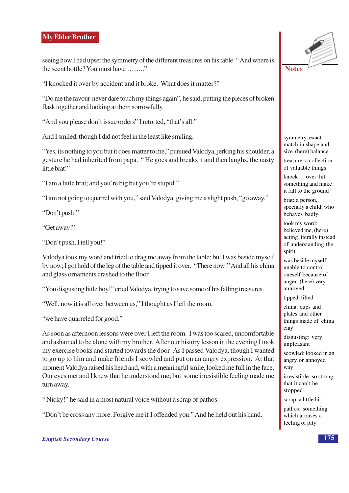seeing how I had upset the symmetry of the different treasures on his table. "And where is the scent bottle? You must have ........"

"I knocked it over by accident and it broke. What does it matter?"

"Do me the favour-never dare touch my things again", he said, putting the pieces of broken flask together and looking at them sorrowfully.

"And you please don't issue orders" I retorted, "that's all."

And I smiled, though I did not feel in the least like smiling.

"Yes, its nothing to you but it does matter to me," pursued Valodya, jerking his shoulder, a gesture he had inherited from papa. "He goes and breaks it and then laughs, the nasty little brat!"

"I am a little brat: and you're big but you're stupid."

"I am not going to quarrel with you," said Valodya, giving me a slight push, "go away."

"Don't push!"

"Get away!"

"Don't push. I tell you!"

Valodya took my word and tried to drag me away from the table; but I was beside myself by now; I got hold of the leg of the table and tipped it over. "There now!" And all his china and glass ornaments crashed to the floor.

"You disgusting little boy!" cried Valodya, trying to save some of his falling treasures.

"Well, now it is all over between us," I thought as I left the room,

"we have quarreled for good."

As soon as afternoon lessons were over I left the room. I was too scared, uncomfortable and ashamed to be alone with my brother. After our history lesson in the evening I took my exercise books and started towards the door. As I passed Valodya, though I wanted to go up to him and make friends I scowled and put on an angry expression. At that moment Valodya raised his head and, with a meaningful smile, looked me full in the face. Our eves met and I knew that he understood me: but some irresistible feeling made me turn away.

"Nicky!" he said in a most natural voice without a scrap of pathos.

"Don't be cross any more. Forgive me if I offended you." And he held out his hand.



symmetry: exact match in shape and size (here) balance

treasure: a collection of valuable things

knock ... over: hit something and make it fall to the ground

brat: a person, specially a child, who behaves badly

took my word: believed me, (here) acting literally instead of understanding the spirit

was beside myself: unable to control oneself because of anger; (here) very annoyed

tipped: tilted

china: cups and plates and other things made of china clay

disgusting: very unpleasant

scowled: looked in an angry or annoyed way

irresistible: so strong that it can't be stopped

scrap: a little bit pathos: something which arouses a feeling of pity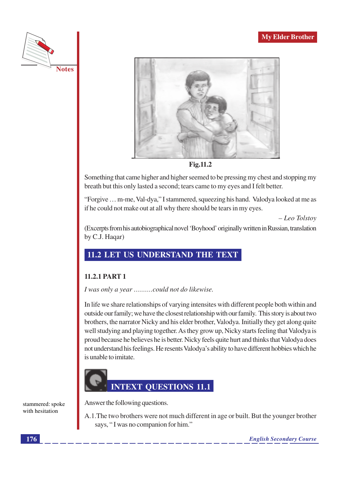



Fig.11.2

Something that came higher and higher seemed to be pressing my chest and stopping my breath but this only lasted a second; tears came to my eyes and I felt better.

"Forgive ... m-me, Val-dya," I stammered, squeezing his hand. Valodya looked at me as if he could not make out at all why there should be tears in my eyes.

 $- Leo Tolstov$ 

(Excerpts from his autobiographical novel 'Boyhood' originally written in Russian, translation by C.J. Haqar)

### 11.2 LET US UNDERSTAND THE TEXT

#### 11.2.1 PART 1

I was only a year .........could not do likewise.

In life we share relationships of varying intensites with different people both within and outside our family; we have the closest relationship with our family. This story is about two brothers, the narrator Nicky and his elder brother, Valodya. Initially they get along quite well studying and playing together. As they grow up, Nicky starts feeling that Valodya is proud because he believes he is better. Nicky feels quite hurt and thinks that Valodya does not understand his feelings. He resents Valodya's ability to have different hobbies which he is unable to imitate.



Answer the following questions.

A.1. The two brothers were not much different in age or built. But the younger brother says, "I was no companion for him."

stammered: spoke with hesitation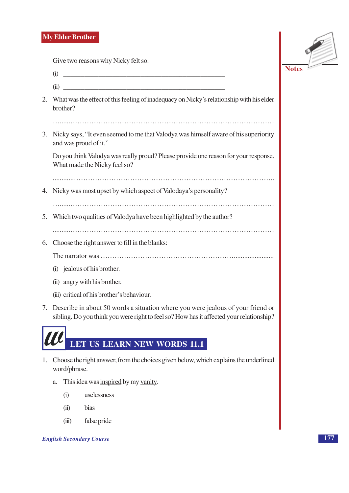Give two reasons why Nicky felt so.



- $(i)$  $(ii)$ 2. What was the effect of this feeling of inadequacy on Nicky's relationship with his elder brother? 3. Nicky says, "It even seemed to me that Valodya was himself aware of his superiority and was proud of it." Do you think Valodya was really proud? Please provide one reason for your response. What made the Nicky feel so? 4. Nicky was most upset by which aspect of Valodaya's personality? 5. Which two qualities of Valodya have been highlighted by the author? 6. Choose the right answer to fill in the blanks: (i) jealous of his brother. (ii) angry with his brother. (iii) critical of his brother's behaviour. 7. Describe in about 50 words a situation where you were jealous of your friend or sibling. Do you think you were right to feel so? How has it affected your relationship? LET US LEARN NEW WORDS 11.1 1. Choose the right answer, from the choices given below, which explains the underlined word/phrase.
	- a. This idea was inspired by my vanity.
		- uselessness  $(i)$
		- $(ii)$ hias
		- $(iii)$ false pride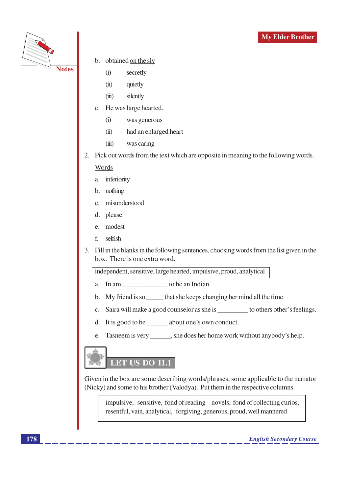

- b. obtained on the sly
	- $(i)$ secretly
	- quietly  $(ii)$
	- silently  $(iii)$
- He was large hearted.  $\mathbf{c}$ .
	- $(i)$ was generous
	- $(ii)$ had an enlarged heart
	- $(iii)$ was caring
- 2. Pick out words from the text which are opposite in meaning to the following words.

#### Words

- a. inferiority
- b. nothing
- misunderstood  $\mathcal{C}$
- please d.
- modest e.
- selfish f.
- 3. Fill in the blanks in the following sentences, choosing words from the list given in the box. There is one extra word.

independent, sensitive, large hearted, impulsive, proud, analytical

- a. In am \_\_\_\_\_\_\_\_\_\_\_\_\_\_\_\_\_ to be an Indian.
- My friend is so \_\_\_\_\_\_ that she keeps changing her mind all the time.  $\mathbf{b}$ .
- Saira will make a good counselor as she is \_\_\_\_\_\_\_\_\_\_\_ to others other's feelings.  $\mathbf{C}$ .
- It is good to be \_\_\_\_\_\_\_ about one's own conduct. d.
- Tasneem is very \_\_\_\_\_\_\_, she does her home work without anybody's help. e.

# **LET US DO 11.1**

Given in the box are some describing words/phrases, some applicable to the narrator (Nicky) and some to his brother (Valodya). Put them in the respective columns.

impulsive, sensitive, fond of reading novels, fond of collecting curios, resentful, vain, analytical, forgiving, generous, proud, well mannered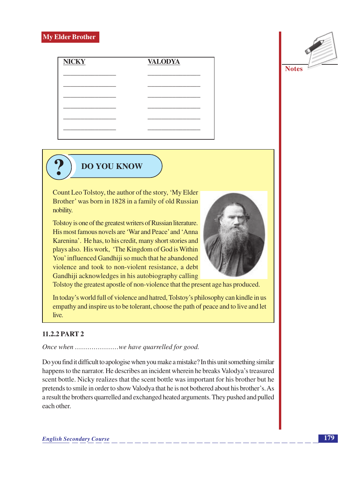



# **DO YOU KNOW**

Count Leo Tolstoy, the author of the story, 'My Elder Brother' was born in 1828 in a family of old Russian nobility.

Tolstoy is one of the greatest writers of Russian literature. His most famous novels are 'War and Peace' and 'Anna Karenina'. He has, to his credit, many short stories and plays also. His work, 'The Kingdom of God is Within You' influenced Gandhiji so much that he abandoned violence and took to non-violent resistance, a debt Gandhiji acknowledges in his autobiography calling



Tolstoy the greatest apostle of non-violence that the present age has produced.

In today's world full of violence and hatred, Tolstoy's philosophy can kindle in us empathy and inspire us to be tolerant, choose the path of peace and to live and let live.

### 11.2.2 PART 2

Do you find it difficult to apologise when you make a mistake? In this unit something similar happens to the narrator. He describes an incident wherein he breaks Valodya's treasured scent bottle. Nicky realizes that the scent bottle was important for his brother but he pretends to smile in order to show Valodya that he is not bothered about his brother's. As a result the brothers quarrelled and exchanged heated arguments. They pushed and pulled each other.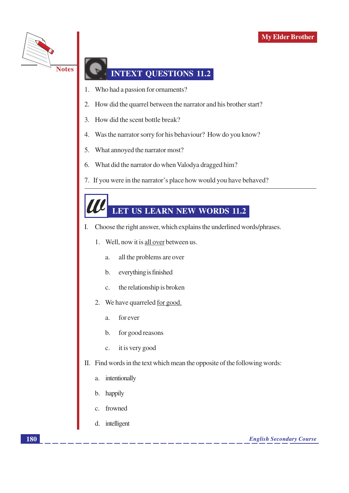

## **INTEXT OUESTIONS 11.2**

- Who had a passion for ornaments? 1.
- How did the quarrel between the narrator and his brother start? 2.
- How did the scent bottle break?  $\overline{3}$ .
- Was the narrator sorry for his behaviour? How do you know?  $4.$
- 5. What annoyed the narrator most?
- What did the narrator do when Valodya dragged him? 6.
- 7. If you were in the narrator's place how would you have behaved?

# LET US LEARN NEW WORDS 11.2

- $\mathbf{I}$ . Choose the right answer, which explains the underlined words/phrases.
	- Well, now it is all over between us. 1.
		- all the problems are over a.
		- everything is finished  $\mathbf b$ .
		- the relationship is broken  $\mathcal{C}$ .
	- We have quarreled for good. 2.
		- for ever  $\mathbf{a}$ .
		- for good reasons  $\mathbf{b}$ .
		- it is very good  $\mathbf{c}$ .
- II. Find words in the text which mean the opposite of the following words:
	- intentionally  $\mathbf{a}$
	- happily  $\mathbf b$
	- frowned  $\mathcal{C}$
	- d. intelligent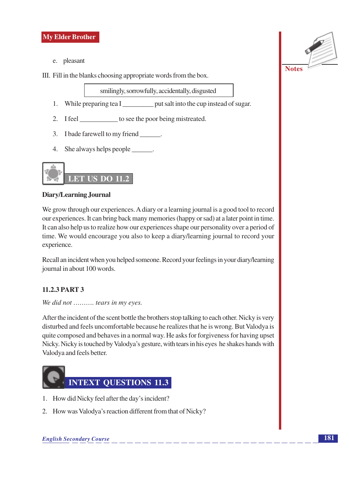

e. pleasant

III. Fill in the blanks choosing appropriate words from the box.

smilingly, sorrowfully, accidentally, disgusted

- 1. While preparing tea I \_\_\_\_\_\_\_\_\_\_\_\_\_\_ put salt into the cup instead of sugar.
- 2. I feel \_\_\_\_\_\_\_\_\_\_\_\_\_ to see the poor being mistreated.
- 3. I bade farewell to my friend \_\_\_\_\_\_.
- 4. She always helps people \_\_\_\_\_\_\_.



#### **Diary/Learning Journal**

We grow through our experiences. A diary or a learning journal is a good tool to record our experiences. It can bring back many memories (happy or sad) at a later point in time. It can also help us to realize how our experiences shape our personality over a period of time. We would encourage you also to keep a diary/learning journal to record your experience.

Recall an incident when you helped someone. Record your feelings in your diary/learning journal in about 100 words.

### 11.2.3 PART 3

We did not .......... tears in my eyes.

After the incident of the scent bottle the brothers stop talking to each other. Nicky is very disturbed and feels uncomfortable because he realizes that he is wrong. But Valodya is quite composed and behaves in a normal way. He asks for forgiveness for having upset Nicky. Nicky is touched by Valodya's gesture, with tears in his eyes he shakes hands with Valodya and feels better.



- 1. How did Nicky feel after the day's incident?
- 2. How was Valodya's reaction different from that of Nicky?

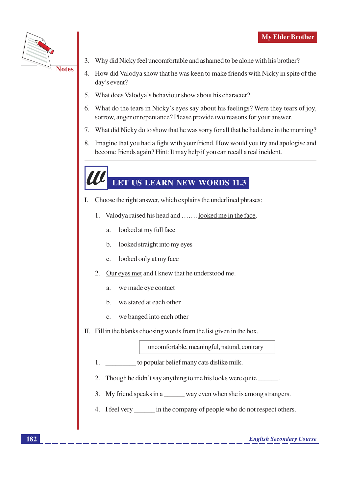

- 3. Why did Nicky feel uncomfortable and ashamed to be alone with his brother?
- 4. How did Valodya show that he was keen to make friends with Nicky in spite of the day's event?
- 5. What does Valodya's behaviour show about his character?
- 6. What do the tears in Nicky's eyes say about his feelings? Were they tears of joy, sorrow, anger or repentance? Please provide two reasons for your answer.
- 7. What did Nicky do to show that he was sorry for all that he had done in the morning?
- 8. Imagine that you had a fight with your friend. How would you try and apologise and become friends again? Hint: It may help if you can recall a real incident.

# LET US LEARN NEW WORDS 11.3

- I. Choose the right answer, which explains the underlined phrases:
	- 1. Valodya raised his head and ....... looked me in the face.
		- looked at my full face  $\alpha$ .
		- looked straight into my eyes  $\mathbf{b}$ .
		- looked only at my face  $\mathbf{c}$ .
	- Our eyes met and I knew that he understood me.  $2^{\circ}$ 
		- we made eye contact a.
		- we stared at each other  $\mathbf{b}$ .
		- we banged into each other  $\mathbf{c}$ .
- II. Fill in the blanks choosing words from the list given in the box.

uncomfortable, meaningful, natural, contrary

- to popular belief many cats dislike milk. 1.
- 2. Though he didn't say anything to me his looks were quite \_\_\_\_\_\_.
- 3. My friend speaks in a \_\_\_\_\_\_ way even when she is among strangers.
- 4. I feel very \_\_\_\_\_\_\_\_ in the company of people who do not respect others.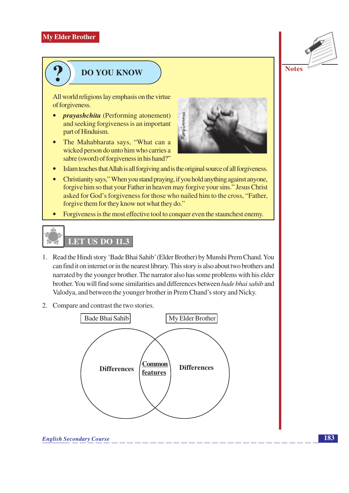

# **DO YOU KNOW**

All world religions lay emphasis on the virtue of forgiveness.

- *prayashchita* (Performing atonement) and seeking for giveness is an important part of Hinduism.
- The Mahabharata says, "What can a  $\bullet$ wicked person do unto him who carries a sabre (sword) of forgiveness in his hand?"



- $\bullet$ Islam teaches that Allah is all forgiving and is the original source of all forgiveness.
- Christianity says," When you stand praying, if you hold anything against anyone, forgive him so that your Father in heaven may forgive your sins." Jesus Christ asked for God's forgiveness for those who nailed him to the cross, "Father, forgive them for they know not what they do."
- Forgiveness is the most effective tool to conquer even the staunchest enemy.  $\bullet$

# **LET US DO 11.3**

- 1. Read the Hindi story 'Bade Bhai Sahib' (Elder Brother) by Munshi Prem Chand. You can find it on internet or in the nearest library. This story is also about two brothers and narrated by the younger brother. The narrator also has some problems with his elder brother. You will find some similarities and differences between bade bhai sahib and Valodya, and between the younger brother in Prem Chand's story and Nicky.
- 2. Compare and contrast the two stories.

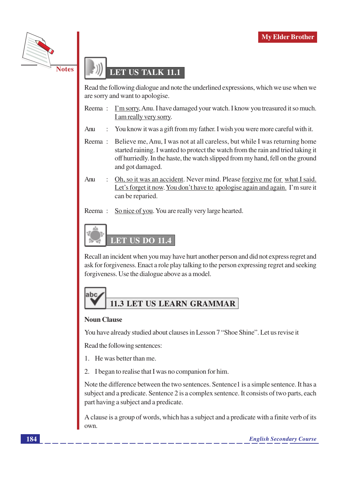

## **LET US TALK 11.1**

Read the following dialogue and note the underlined expressions, which we use when we are sorry and want to apologise.

- Reema: I'm sorry, Anu. I have damaged your watch. I know you treasured it so much. I am really very sorry.
- Anu You know it was a gift from my father. I wish you were more careful with it.  $\ddot{\cdot}$
- Reema: Believe me, Anu, I was not at all careless, but while I was returning home started raining. I wanted to protect the watch from the rain and tried taking it off hurriedly. In the haste, the watch slipped from my hand, fell on the ground and got damaged.
- Anu Oh, so it was an accident. Never mind. Please for give me for what I said. Let's forget it now. You don't have to apologise again and again. I'm sure it can be reparied.
- So nice of you. You are really very large hearted. Reema:



Recall an incident when you may have hurt another person and did not express regret and ask for forgiveness. Enact a role play talking to the person expressing regret and seeking forgiveness. Use the dialogue above as a model.

# labc **11.3 LET US LEARN GRAMMAR**

#### **Noun Clause**

You have already studied about clauses in Lesson 7 "Shoe Shine". Let us revise it

Read the following sentences:

- 1. He was better than me.
- 2. I began to realise that I was no companion for him.

Note the difference between the two sentences. Sentence1 is a simple sentence. It has a subject and a predicate. Sentence 2 is a complex sentence. It consists of two parts, each part having a subject and a predicate.

A clause is a group of words, which has a subject and a predicate with a finite verb of its own.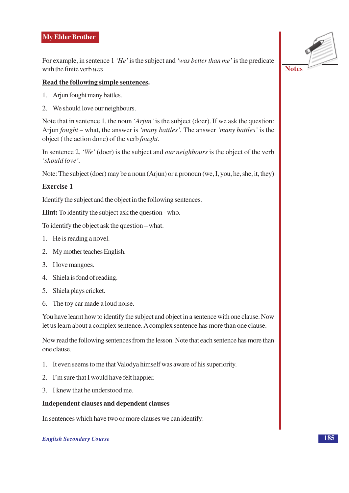For example, in sentence 1 'He' is the subject and 'was better than me' is the predicate with the finite verb  $was$ .

#### Read the following simple sentences.

- 1. Arjun fought many battles.
- 2. We should love our neighbours.

Note that in sentence 1, the noun 'Arjun' is the subject (doer). If we ask the question: Arjun *fought* – what, the answer is *'many battles'*. The answer *'many battles'* is the object (the action done) of the verb *fought*.

In sentence 2, 'We' (doer) is the subject and *our neighbours* is the object of the verb 'should love'.

Note: The subject (doer) may be a noun (Arjun) or a pronoun (we, I, you, he, she, it, they)

#### Exercise 1

Identify the subject and the object in the following sentences.

**Hint:** To identify the subject ask the question - who.

To identify the object ask the question – what.

- 1. He is reading a novel.
- 2. My mother teaches English.
- 3. I love mangoes.
- 4. Shiela is fond of reading.
- 5. Shiela plays cricket.
- 6. The toy car made a loud noise.

You have learnt how to identify the subject and object in a sentence with one clause. Now let us learn about a complex sentence. A complex sentence has more than one clause.

Now read the following sentences from the lesson. Note that each sentence has more than one clause.

- 1. It even seems to me that Valodya himself was aware of his superiority.
- 2. I'm sure that I would have felt happier.
- 3. I knew that he understood me.

#### **Independent clauses and dependent clauses**

In sentences which have two or more clauses we can identify:

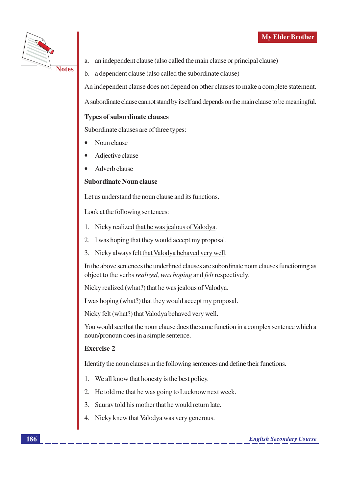

an independent clause (also called the main clause or principal clause) a.

a dependent clause (also called the subordinate clause)  $\mathbf{b}$ .

An independent clause does not depend on other clauses to make a complete statement.

A subordinate clause cannot stand by itself and depends on the main clause to be meaningful.

#### **Types of subordinate clauses**

Subordinate clauses are of three types:

- Noun clause
- Adjective clause
- Adverb clause

#### **Subordinate Noun clause**

Let us understand the noun clause and its functions.

Look at the following sentences:

- 1. Nicky realized that he was jealous of Valodya.
- 2. I was hoping that they would accept my proposal.
- 3. Nicky always felt that Valodya behaved very well.

In the above sentences the underlined clauses are subordinate noun clauses functioning as object to the verbs *realized*, was *hoping* and *felt* respectively.

Nicky realized (what?) that he was jealous of Valodya.

I was hoping (what?) that they would accept my proposal.

Nicky felt (what?) that Valodya behaved very well.

You would see that the noun clause does the same function in a complex sentence which a noun/pronoun does in a simple sentence.

#### **Exercise 2**

Identify the noun clauses in the following sentences and define their functions.

- We all know that honesty is the best policy.  $1.$
- He told me that he was going to Lucknow next week. 2.
- Saurav told his mother that he would return late.  $\overline{3}$ .
- Nicky knew that Valodya was very generous.  $\overline{4}$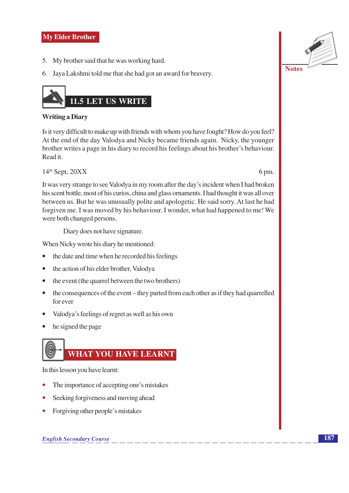- 5. My brother said that he was working hard.
- 6. Jaya Lakshmi told me that she had got an award for bravery.



#### **Writing a Diary**

Is it very difficult to make up with friends with whom you have fought? How do you feel? At the end of the day Valodya and Nicky became friends again. Nicky, the younger brother writes a page in his diary to record his feelings about his brother's behaviour. Read it.

 $14<sup>th</sup>$  Sept,  $20XX$ 

6 pm.

It was very strange to see Valodya in my room after the day's incident when I had broken his scent bottle, most of his curios, china and glass ornaments. I had thought it was all over between us. But he was unusually polite and apologetic. He said sorry. At last he had forgiven me. I was moved by his behaviour. I wonder, what had happened to me! We were both changed persons.

Diary does not have signature.

When Nicky wrote his diary he mentioned:

- $\bullet$ the date and time when he recorded his feelings
- the action of his elder brother, Valodya  $\bullet$
- the event (the quarrel between the two brothers)  $\bullet$
- $\bullet$  the consequences of the event they parted from each other as if they had quarrelled for ever
- Valodya's feelings of regret as well as his own
- he signed the page



In this lesson you have learnt:

- The importance of accepting one's mistakes
- Seeking forgiveness and moving ahead
- Forgiving other people's mistakes

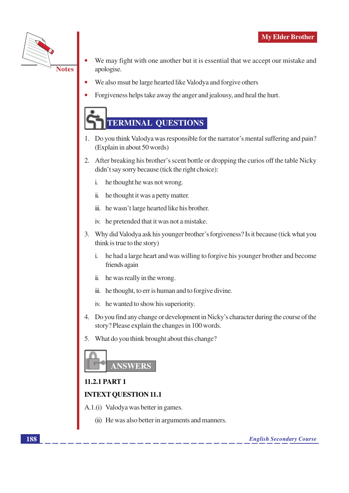

- We may fight with one another but it is essential that we accept our mistake and apologise.
- We also msut be large hearted like Valodya and forgive others
- Forgiveness helps take away the anger and jealousy, and heal the hurt.



- 1. Do you think Valodya was responsible for the narrator's mental suffering and pain? (Explain in about 50 words)
- 2. After breaking his brother's scent bottle or dropping the curios off the table Nicky didn't say sorry because (tick the right choice):
	- $\mathbf{i}$ . he thought he was not wrong.
	- $\ddot{\mathbf{u}}$ . he thought it was a petty matter.
	- iii. he wasn't large hearted like his brother.
	- iv. he pretended that it was not a mistake.
- 3. Why did Valodya ask his younger brother's forgiveness? Is it because (tick what you think is true to the story)
	- he had a large heart and was willing to forgive his younger brother and become  $\mathbf{i}$ . friends again
	- $\ddot{\mathbf{u}}$ . he was really in the wrong.
	- iii. he thought, to err is human and to forgive divine.
	- iv. he wanted to show his superiority.
- 4. Do you find any change or development in Nicky's character during the course of the story? Please explain the changes in 100 words.
- 5. What do you think brought about this change?



### **11.2.1 PART 1**

### **INTEXT QUESTION 11.1**

- A.1.(i) Valodya was better in games.
	- (ii) He was also better in arguments and manners.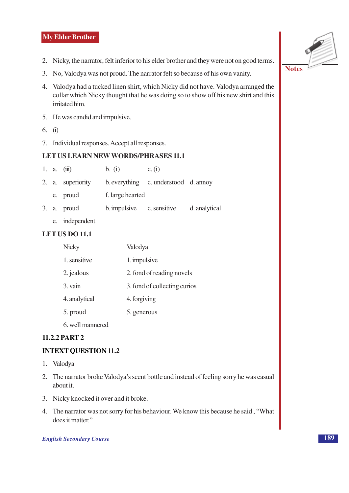- 2. Nicky, the narrator, felt inferior to his elder brother and they were not on good terms.
- 3. No, Valodya was not proud. The narrator felt so because of his own vanity.
- 4. Valodya had a tucked linen shirt, which Nicky did not have. Valodya arranged the collar which Nicky thought that he was doing so to show off his new shirt and this irritated him.
- 5. He was candid and impulsive.
- 6. (i)
- 7. Individual responses. Accept all responses.

#### **LET US LEARN NEW WORDS/PHRASES 11.1**

|  | 1. a. $(iii)$     | b. (i)                    | c. (i)                               |               |
|--|-------------------|---------------------------|--------------------------------------|---------------|
|  | 2. a. superiority |                           | b. everything c. understood d. annoy |               |
|  | e. proud          | f. large hearted          |                                      |               |
|  | 3. a. proud       | b. impulsive c. sensitive |                                      | d. analytical |

e. independent

#### **LET US DO 11.1**

| <b>Nicky</b>     | Valodya                      |
|------------------|------------------------------|
| 1. sensitive     | 1. impulsive                 |
| 2. jealous       | 2. fond of reading novels    |
| 3. vain          | 3. fond of collecting curios |
| 4. analytical    | 4. forgiving                 |
| 5. proud         | 5. generous                  |
| 6. well mannered |                              |

### 11.2.2 PART 2

#### **INTEXT QUESTION 11.2**

- 1. Valodya
- 2. The narrator broke Valodya's scent bottle and instead of feeling sorry he was casual about it.
- 3. Nicky knocked it over and it broke.
- 4. The narrator was not sorry for his behaviour. We know this because he said, "What does it matter."

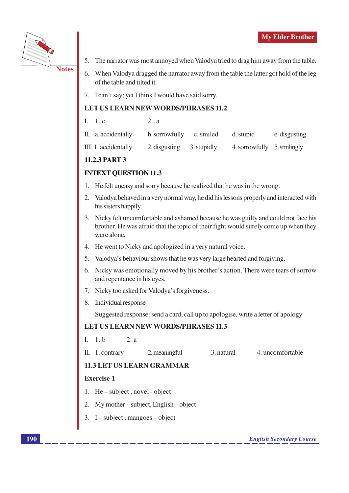

- **Notes**
- 5. The narrator was most annoyed when Valodya tried to drag him away from the table.
- 6. When Valodya dragged the narrator away from the table the latter got hold of the leg of the table and tilted it.
- 7. I can't say; yet I think I would have said sorry.

#### **LET US LEARN NEW WORDS/PHRASES 11.2**

| I. $1.c$ | 2. a |  |
|----------|------|--|
|          |      |  |

|  | II. a. accidentally | b. sorrowfully c. smiled |  | d. stupid | e. disgusting |
|--|---------------------|--------------------------|--|-----------|---------------|
|--|---------------------|--------------------------|--|-----------|---------------|

| III. 1. accidentally | 2. disgusting | 3. stupidly | 4. sorrowfully 5. smilingly |  |
|----------------------|---------------|-------------|-----------------------------|--|
|----------------------|---------------|-------------|-----------------------------|--|

### 11.2.3 PART 3

### **INTEXT QUESTION 11.3**

- He felt uneasy and sorry because he realized that he was in the wrong.  $1<sub>1</sub>$
- 2. Valodya behaved in a very normal way, he did his lessons properly and interacted with his sisters happily.
- 3. Nicky felt uncomfortable and ashamed because he was guilty and could not face his brother. He was afraid that the topic of their fight would surely come up when they were alone.
- 4. He went to Nicky and apologized in a very natural voice.
- 5. Valodya's behaviour shows that he was very large hearted and forgiving.
- 6. Nicky was emotionally moved by his brother's action. There were tears of sorrow and repentance in his eyes.
- 7. Nicky too asked for Valodya's forgiveness.
- 8. Individual response

Suggested response: send a card, call up to apologise, write a letter of apology

#### **LET US LEARN NEW WORDS/PHRASES 11.3**

- $I. 1.b$  $2. a$
- 2. meaningful 3. natural 4. uncomfortable II. 1. contrary

### **11.3 LET US LEARN GRAMMAR**

#### **Exercise 1**

- 1. He subject, novel object
- 2. My mother subject, English object
- 3. I subject, mangoes object